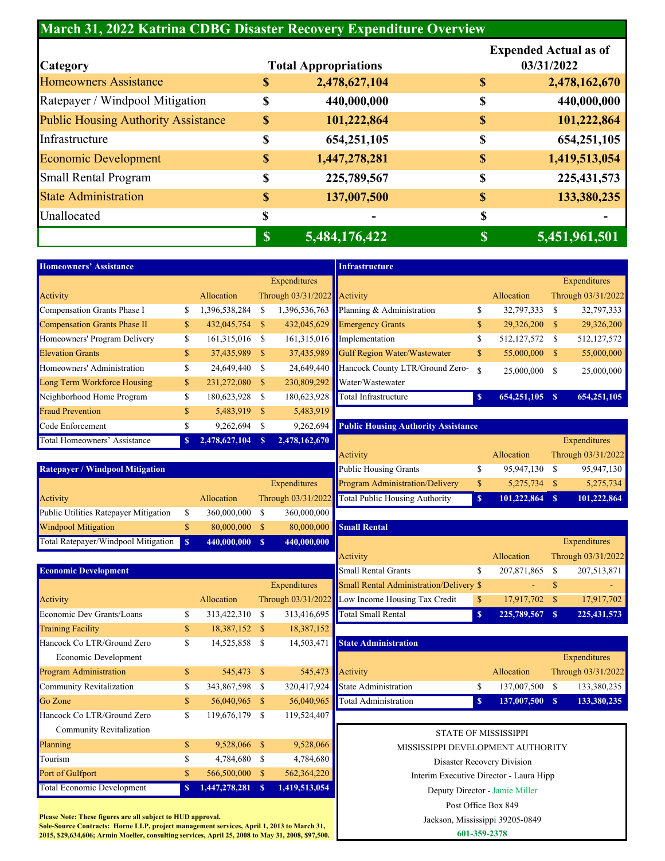## **March 31, 2022 Katrina CDBG Disaster Recovery Expenditure Overview**

|                                            |               |                             |              | <b>Expended Actual as of</b> |  |  |
|--------------------------------------------|---------------|-----------------------------|--------------|------------------------------|--|--|
| <b>Category</b>                            |               | <b>Total Appropriations</b> | 03/31/2022   |                              |  |  |
| <b>Homeowners Assistance</b>               | \$            | 2,478,627,104               | S            | 2,478,162,670                |  |  |
| Ratepayer / Windpool Mitigation            | \$            | 440,000,000                 | \$           | 440,000,000                  |  |  |
| <b>Public Housing Authority Assistance</b> | $\mathbb{S}$  | 101,222,864                 | $\mathbb{S}$ | 101,222,864                  |  |  |
| Infrastructure                             | \$            | 654,251,105                 | \$           | 654,251,105                  |  |  |
| <b>Economic Development</b>                | $\mathbb{S}$  | 1,447,278,281               | $\mathbb{S}$ | 1,419,513,054                |  |  |
| <b>Small Rental Program</b>                | \$            | 225,789,567                 | \$           | 225, 431, 573                |  |  |
| <b>State Administration</b>                | $\mathbb{S}$  | 137,007,500                 | $\mathbb{S}$ | 133,380,235                  |  |  |
| Unallocated                                | \$            |                             | \$           |                              |  |  |
|                                            | $\mathbf{\$}$ | 5,484,176,422               |              | 5,451,961,501                |  |  |

| <b>Homeowners' Assistance</b> |              |                |               |                               | <b>Infrastructure</b>                         |               |               |               |                    |
|-------------------------------|--------------|----------------|---------------|-------------------------------|-----------------------------------------------|---------------|---------------|---------------|--------------------|
|                               |              |                |               | Expenditures                  |                                               |               |               |               | Expenditures       |
| Activity                      |              | Allocation     |               | Through $03/31/2022$ Activity |                                               |               | Allocation    |               | Through 03/31/2022 |
| Compensation Grants Phase I   | \$           | 1,396,538,284  | \$            |                               | 1,396,536,763 Planning & Administration       | \$            | 32,797,333    | S             | 32,797,333         |
| Compensation Grants Phase II  | \$           | 432,045,754    | <sup>\$</sup> |                               | 432,045,629 Emergency Grants                  | \$            | 29,326,200    | $\mathbb{S}$  | 29,326,200         |
| Homeowners' Program Delivery  | \$           | 161,315,016 \$ |               |                               | 161,315,016 Implementation                    | \$            | 512, 127, 572 | <sup>\$</sup> | 512,127,572        |
| <b>Elevation Grants</b>       | \$           | 37,435,989     | <sup>\$</sup> |                               | 37,435,989 Gulf Region Water/Wastewater       | $\mathbb{S}$  | 55,000,000    | <sup>\$</sup> | 55,000,000         |
| Homeowners' Administration    | \$           | 24,649,440     | S.            |                               | 24,649,440 Hancock County LTR/Ground Zero-    | <sup>\$</sup> | 25,000,000    | \$            | 25,000,000         |
| Long Term Workforce Housing   | \$           | 231,272,080    | <sup>\$</sup> | 230,809,292                   | <b>Water/Wastewater</b>                       |               |               |               |                    |
| Neighborhood Home Program     | \$           | 180,623,928    | S             | 180,623,928                   | Total Infrastructure                          | $\mathbf{s}$  | 654, 251, 105 | <sup>S</sup>  | 654, 251, 105      |
| <b>Fraud Prevention</b>       | \$           | 5,483,919      | $\mathbb{S}$  | 5,483,919                     |                                               |               |               |               |                    |
| Code Enforcement              | \$           | 9,262,694      | S             |                               | 9,262,694 Public Housing Authority Assistance |               |               |               |                    |
| Total Homeowners' Assistance  | $\mathbf{s}$ | 2,478,627,104  | S             | 2,478,162,670                 |                                               |               |               |               | Expenditures       |

| <b>Expenditures</b>        |                                 |               |             |              | Expenditures       |
|----------------------------|---------------------------------|---------------|-------------|--------------|--------------------|
| ough $03/31/2022$ Activity |                                 |               | Allocation  |              | Through 03/31/2022 |
| 1,396,536,763              | Planning & Administration       | \$            | 32,797,333  | S            | 32,797,333         |
| 432,045,629                | <b>Emergency Grants</b>         | $\mathbb{S}$  | 29,326,200  | S            | 29,326,200         |
|                            | $161,315,016$ Implementation    | \$            | 512,127,572 | S            | 512,127,572        |
| 37,435,989                 | Gulf Region Water/Wastewater    | $\mathbb{S}$  | 55,000,000  | $\mathbb{S}$ | 55,000,000         |
| 24,649,440                 | Hancock County LTR/Ground Zero- | <sup>\$</sup> | 25,000,000  | S            | 25,000,000         |
| 230,809,292                | Water/Wastewater                |               |             |              |                    |
| 180,623,928                | Total Infrastructure            | $\mathbf{s}$  | 654,251,105 | <sup>S</sup> | 654,251,105        |
|                            |                                 |               |             |              |                    |

| <b>Ratepaver / Windpool Mitigation</b> |                |              | <b>Public Housing Grants</b>                      | 95,947,130  |    | 95,947,130   |
|----------------------------------------|----------------|--------------|---------------------------------------------------|-------------|----|--------------|
|                                        |                | Expenditures | <b>Program Administration/Delivery</b>            | 5.275.734   |    | 5,275,734    |
| Activity                               | Allocation     |              | Through 03/31/2022 Total Public Housing Authority | 101,222,864 | -S | 101,222,864  |
| Public Utilities Ratepayer Mitigation  | 360,000,000 \$ | 360,000,000  |                                                   |             |    |              |
| <b>Windpool Mitigation</b>             | 80,000,000 \$  |              | 80,000,000 Small Rental                           |             |    |              |
| Total Ratepayer/Windpool Mitigation S  | 440,000,000 \$ | 440,000,000  |                                                   |             |    | Expenditures |

| 9,262,694           | <b>Public Housing Authority Assistance</b>     |    |              |                    |
|---------------------|------------------------------------------------|----|--------------|--------------------|
| 2,478,162,670       |                                                |    |              | Expenditures       |
|                     | Activity                                       |    | Allocation   | Through 03/31/2022 |
|                     | Public Housing Grants                          |    | 95,947,130   | 95,947,130         |
| <b>Expenditures</b> | Program Administration/Delivery                | \$ | 5,275,734 \$ | 5,275,734          |
|                     | ough 03/31/2022 Total Public Housing Authority | S  | 101,222,864  | 101,222,864        |

| 80,000,000          | <b>Small Rental</b>                           |               |             |      |                    |
|---------------------|-----------------------------------------------|---------------|-------------|------|--------------------|
| 440,000,000         |                                               |               |             |      | Expenditures       |
|                     | Activity                                      |               | Allocation  |      | Through 03/31/2022 |
|                     | Small Rental Grants                           |               | 207,871,865 |      | 207,513,871        |
| <b>Expenditures</b> | Small Rental Administration/Delivery \$       |               |             |      |                    |
|                     | ough 03/31/2022 Low Income Housing Tax Credit | $\mathcal{S}$ | 17,917,702  | - \$ | 17,917,702         |
| 313,416,695         | Total Small Rental                            | S             | 225,789,567 |      | 225,431,573        |

| cock Co LTR/Ground Zero | 14,525,858 \$  |                    | 14,503,471 State Administration  |             |                    |
|-------------------------|----------------|--------------------|----------------------------------|-------------|--------------------|
| Economic Development    |                |                    |                                  |             | Expenditures       |
| ram Administration      | 545,473 \$     | $545,473$ Activity |                                  | Allocation  | Through 03/31/2022 |
| munity Revitalization   | 343,867,598 \$ |                    | 320,417,924 State Administration | 137,007,500 | 133,380,235        |
| Cone                    | 56,040,965 \$  |                    | 56,040,965 Total Administration  | 137,007,500 | 133,380,235        |
|                         |                |                    |                                  |             |                    |

| <b>STATE OF MISSISSIPPI</b>       |
|-----------------------------------|
| MISSISSIPPI DEVELOPMENT AUTHORITY |

Post Office Box 849

Jackson, Mississippi 39205-0849

**601-359-2378**

## **Economic Development**

|              |               |    |                                                                                                                                                                       |                               |                                              | ٠           |                                                                                             |                                                                                                                                         |
|--------------|---------------|----|-----------------------------------------------------------------------------------------------------------------------------------------------------------------------|-------------------------------|----------------------------------------------|-------------|---------------------------------------------------------------------------------------------|-----------------------------------------------------------------------------------------------------------------------------------------|
|              | Allocation    |    |                                                                                                                                                                       | Low Income Housing Tax Credit | $\mathbb{S}$                                 | 17,917,702  | $\mathbf{s}$                                                                                | 17,917,702                                                                                                                              |
| \$           |               |    |                                                                                                                                                                       | Total Small Rental            | $\mathbf{s}$                                 | 225,789,567 | S.                                                                                          | 225, 431, 573                                                                                                                           |
| \$           |               |    | 18,387,152                                                                                                                                                            |                               |                                              |             |                                                                                             |                                                                                                                                         |
| \$           |               |    | 14,503,471                                                                                                                                                            | <b>State Administration</b>   |                                              |             |                                                                                             |                                                                                                                                         |
|              |               |    |                                                                                                                                                                       |                               |                                              |             |                                                                                             | Expenditures                                                                                                                            |
| $\mathbb{S}$ |               |    |                                                                                                                                                                       | Activity                      |                                              | Allocation  |                                                                                             | Through 03/31/2022                                                                                                                      |
| \$           |               |    | 320,417,924                                                                                                                                                           | State Administration          | \$                                           | 137,007,500 | S                                                                                           | 133,380,235                                                                                                                             |
| \$           |               |    | 56,040,965                                                                                                                                                            | <b>Total Administration</b>   | $\mathbf{s}$                                 | 137,007,500 | -S                                                                                          | 133,380,235                                                                                                                             |
| S            |               |    | 119,524,407                                                                                                                                                           |                               |                                              |             |                                                                                             |                                                                                                                                         |
|              |               |    |                                                                                                                                                                       |                               |                                              |             |                                                                                             |                                                                                                                                         |
| $\mathbb{S}$ |               |    | 9,528,066                                                                                                                                                             |                               |                                              |             |                                                                                             |                                                                                                                                         |
| \$           |               |    | 4,784,680                                                                                                                                                             |                               |                                              |             |                                                                                             |                                                                                                                                         |
| $\mathbb{S}$ |               |    | 562,364,220                                                                                                                                                           |                               |                                              |             |                                                                                             |                                                                                                                                         |
| <sup>S</sup> | 1,447,278,281 | -8 | 1,419,513,054                                                                                                                                                         |                               |                                              |             |                                                                                             |                                                                                                                                         |
|              |               |    | 313,422,310 \$<br>18,387,152 \$<br>14,525,858 \$<br>545,473 \$<br>343,867,598 \$<br>56,040,965 \$<br>119,676,179 \$<br>9,528,066 \$<br>4,784,680 \$<br>566,500,000 \$ |                               | Through 03/31/2022<br>313,416,695<br>545,473 |             | <b>STATE OF MISSISSIPPI</b><br>Disaster Recovery Division<br>Deputy Director - Jamie Miller | Expenditures<br>Small Rental Administration/Delivery \$<br>MISSISSIPPI DEVELOPMENT AUTHORITY<br>Interim Executive Director - Laura Hipp |

**Please Note: These figures are all subject to HUD approval.**

**Sole-Source Contracts: Horne LLP, project management services, April 1, 2013 to March 31, 2015, \$29,634,606; Armin Moeller, consulting services, April 25, 2008 to May 31, 2008, \$97,500.**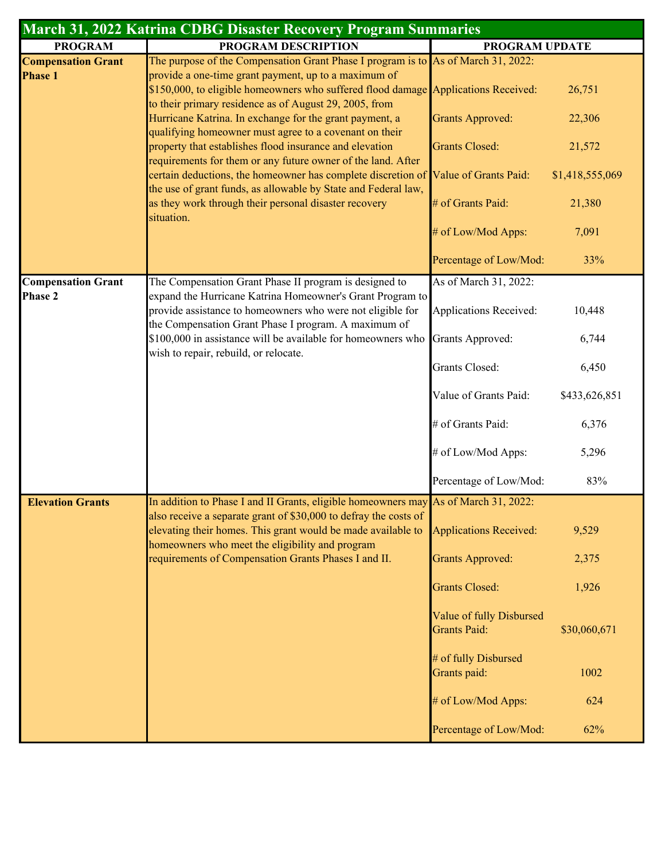| March 31, 2022 Katrina CDBG Disaster Recovery Program Summaries |                                                                                                                                                                                                                                 |                                                 |                           |  |  |  |  |  |
|-----------------------------------------------------------------|---------------------------------------------------------------------------------------------------------------------------------------------------------------------------------------------------------------------------------|-------------------------------------------------|---------------------------|--|--|--|--|--|
| <b>PROGRAM</b>                                                  | PROGRAM DESCRIPTION                                                                                                                                                                                                             | PROGRAM UPDATE                                  |                           |  |  |  |  |  |
| <b>Compensation Grant</b><br><b>Phase 1</b>                     | The purpose of the Compensation Grant Phase I program is to As of March 31, 2022:<br>provide a one-time grant payment, up to a maximum of<br>\$150,000, to eligible homeowners who suffered flood damage Applications Received: |                                                 | 26,751                    |  |  |  |  |  |
|                                                                 | to their primary residence as of August 29, 2005, from<br>Hurricane Katrina. In exchange for the grant payment, a<br>qualifying homeowner must agree to a covenant on their                                                     | <b>Grants Approved:</b>                         | 22,306                    |  |  |  |  |  |
|                                                                 | property that establishes flood insurance and elevation<br>requirements for them or any future owner of the land. After<br>certain deductions, the homeowner has complete discretion of Value of Grants Paid:                   | <b>Grants Closed:</b>                           | 21,572<br>\$1,418,555,069 |  |  |  |  |  |
|                                                                 | the use of grant funds, as allowable by State and Federal law,<br>as they work through their personal disaster recovery                                                                                                         | # of Grants Paid:                               | 21,380                    |  |  |  |  |  |
|                                                                 | situation.                                                                                                                                                                                                                      | # of Low/Mod Apps:                              | 7,091                     |  |  |  |  |  |
|                                                                 |                                                                                                                                                                                                                                 | Percentage of Low/Mod:                          | 33%                       |  |  |  |  |  |
| <b>Compensation Grant</b>                                       | The Compensation Grant Phase II program is designed to                                                                                                                                                                          | As of March 31, 2022:                           |                           |  |  |  |  |  |
| <b>Phase 2</b>                                                  | expand the Hurricane Katrina Homeowner's Grant Program to<br>provide assistance to homeowners who were not eligible for<br>the Compensation Grant Phase I program. A maximum of                                                 | <b>Applications Received:</b>                   | 10,448                    |  |  |  |  |  |
|                                                                 | \$100,000 in assistance will be available for homeowners who<br>wish to repair, rebuild, or relocate.                                                                                                                           | <b>Grants Approved:</b>                         | 6,744                     |  |  |  |  |  |
|                                                                 |                                                                                                                                                                                                                                 | <b>Grants Closed:</b>                           | 6,450                     |  |  |  |  |  |
|                                                                 |                                                                                                                                                                                                                                 | Value of Grants Paid:                           | \$433,626,851             |  |  |  |  |  |
|                                                                 |                                                                                                                                                                                                                                 | # of Grants Paid:                               | 6,376                     |  |  |  |  |  |
|                                                                 |                                                                                                                                                                                                                                 | # of Low/Mod Apps:                              | 5,296                     |  |  |  |  |  |
|                                                                 |                                                                                                                                                                                                                                 | Percentage of Low/Mod:                          | 83%                       |  |  |  |  |  |
| <b>Elevation Grants</b>                                         | In addition to Phase I and II Grants, eligible homeowners may As of March 31, 2022:<br>also receive a separate grant of \$30,000 to defray the costs of                                                                         |                                                 |                           |  |  |  |  |  |
|                                                                 | elevating their homes. This grant would be made available to<br>homeowners who meet the eligibility and program                                                                                                                 | <b>Applications Received:</b>                   | 9,529                     |  |  |  |  |  |
|                                                                 | requirements of Compensation Grants Phases I and II.                                                                                                                                                                            | <b>Grants Approved:</b>                         | 2,375                     |  |  |  |  |  |
|                                                                 |                                                                                                                                                                                                                                 | <b>Grants Closed:</b>                           | 1,926                     |  |  |  |  |  |
|                                                                 |                                                                                                                                                                                                                                 | Value of fully Disbursed<br><b>Grants Paid:</b> | \$30,060,671              |  |  |  |  |  |
|                                                                 |                                                                                                                                                                                                                                 | # of fully Disbursed<br>Grants paid:            | 1002                      |  |  |  |  |  |
|                                                                 |                                                                                                                                                                                                                                 | # of Low/Mod Apps:                              | 624                       |  |  |  |  |  |
|                                                                 |                                                                                                                                                                                                                                 | Percentage of Low/Mod:                          | 62%                       |  |  |  |  |  |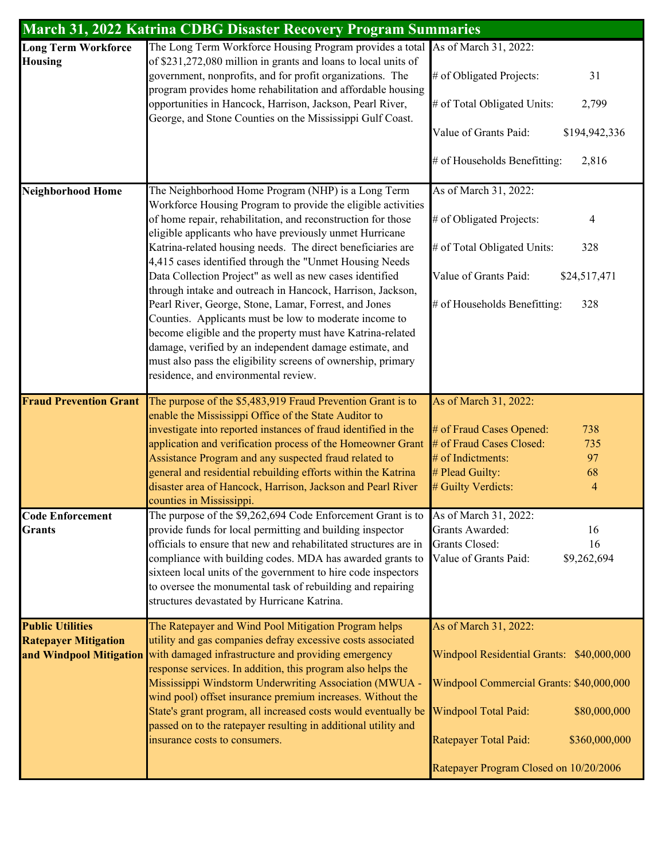| <b>March 31, 2022 Katrina CDBG Disaster Recovery Program Summaries</b>            |                                                                                                                                                                                                                                                                                                                                                                                                                                                                                                                                                                                                                                                                                                                                                                                                                                                       |                                                                                                                                                                                                                                            |  |  |  |  |  |  |  |
|-----------------------------------------------------------------------------------|-------------------------------------------------------------------------------------------------------------------------------------------------------------------------------------------------------------------------------------------------------------------------------------------------------------------------------------------------------------------------------------------------------------------------------------------------------------------------------------------------------------------------------------------------------------------------------------------------------------------------------------------------------------------------------------------------------------------------------------------------------------------------------------------------------------------------------------------------------|--------------------------------------------------------------------------------------------------------------------------------------------------------------------------------------------------------------------------------------------|--|--|--|--|--|--|--|
| <b>Long Term Workforce</b><br><b>Housing</b>                                      | The Long Term Workforce Housing Program provides a total As of March 31, 2022:<br>of \$231,272,080 million in grants and loans to local units of<br>government, nonprofits, and for profit organizations. The<br>program provides home rehabilitation and affordable housing<br>opportunities in Hancock, Harrison, Jackson, Pearl River,<br>George, and Stone Counties on the Mississippi Gulf Coast.                                                                                                                                                                                                                                                                                                                                                                                                                                                | # of Obligated Projects:<br>31<br># of Total Obligated Units:<br>2,799<br>Value of Grants Paid:<br>\$194,942,336<br># of Households Benefitting:<br>2,816                                                                                  |  |  |  |  |  |  |  |
| <b>Neighborhood Home</b>                                                          | The Neighborhood Home Program (NHP) is a Long Term<br>Workforce Housing Program to provide the eligible activities<br>of home repair, rehabilitation, and reconstruction for those<br>eligible applicants who have previously unmet Hurricane<br>Katrina-related housing needs. The direct beneficiaries are<br>4,415 cases identified through the "Unmet Housing Needs<br>Data Collection Project" as well as new cases identified<br>through intake and outreach in Hancock, Harrison, Jackson,<br>Pearl River, George, Stone, Lamar, Forrest, and Jones<br>Counties. Applicants must be low to moderate income to<br>become eligible and the property must have Katrina-related<br>damage, verified by an independent damage estimate, and<br>must also pass the eligibility screens of ownership, primary<br>residence, and environmental review. | As of March 31, 2022:<br># of Obligated Projects:<br>4<br># of Total Obligated Units:<br>328<br>Value of Grants Paid:<br>\$24,517,471<br># of Households Benefitting:<br>328                                                               |  |  |  |  |  |  |  |
| <b>Fraud Prevention Grant</b><br><b>Code Enforcement</b>                          | The purpose of the \$5,483,919 Fraud Prevention Grant is to<br>enable the Mississippi Office of the State Auditor to<br>investigate into reported instances of fraud identified in the<br>application and verification process of the Homeowner Grant<br>Assistance Program and any suspected fraud related to<br>general and residential rebuilding efforts within the Katrina<br>disaster area of Hancock, Harrison, Jackson and Pearl River<br>counties in Mississippi.<br>The purpose of the \$9,262,694 Code Enforcement Grant is to                                                                                                                                                                                                                                                                                                             | As of March 31, 2022:<br># of Fraud Cases Opened:<br>738<br># of Fraud Cases Closed:<br>735<br># of Indictments:<br>97<br># Plead Guilty:<br>68<br># Guilty Verdicts:<br>$\overline{4}$<br>As of March 31, 2022:                           |  |  |  |  |  |  |  |
| <b>Grants</b>                                                                     | provide funds for local permitting and building inspector<br>officials to ensure that new and rehabilitated structures are in<br>compliance with building codes. MDA has awarded grants to<br>sixteen local units of the government to hire code inspectors<br>to oversee the monumental task of rebuilding and repairing<br>structures devastated by Hurricane Katrina.                                                                                                                                                                                                                                                                                                                                                                                                                                                                              | Grants Awarded:<br>16<br><b>Grants Closed:</b><br>16<br>Value of Grants Paid:<br>\$9,262,694                                                                                                                                               |  |  |  |  |  |  |  |
| <b>Public Utilities</b><br><b>Ratepayer Mitigation</b><br>and Windpool Mitigation | The Ratepayer and Wind Pool Mitigation Program helps<br>utility and gas companies defray excessive costs associated<br>with damaged infrastructure and providing emergency<br>response services. In addition, this program also helps the<br>Mississippi Windstorm Underwriting Association (MWUA -<br>wind pool) offset insurance premium increases. Without the<br>State's grant program, all increased costs would eventually be<br>passed on to the ratepayer resulting in additional utility and<br>insurance costs to consumers.                                                                                                                                                                                                                                                                                                                | As of March 31, 2022:<br>Windpool Residential Grants: \$40,000,000<br>Windpool Commercial Grants: \$40,000,000<br>Windpool Total Paid:<br>\$80,000,000<br>Ratepayer Total Paid:<br>\$360,000,000<br>Ratepayer Program Closed on 10/20/2006 |  |  |  |  |  |  |  |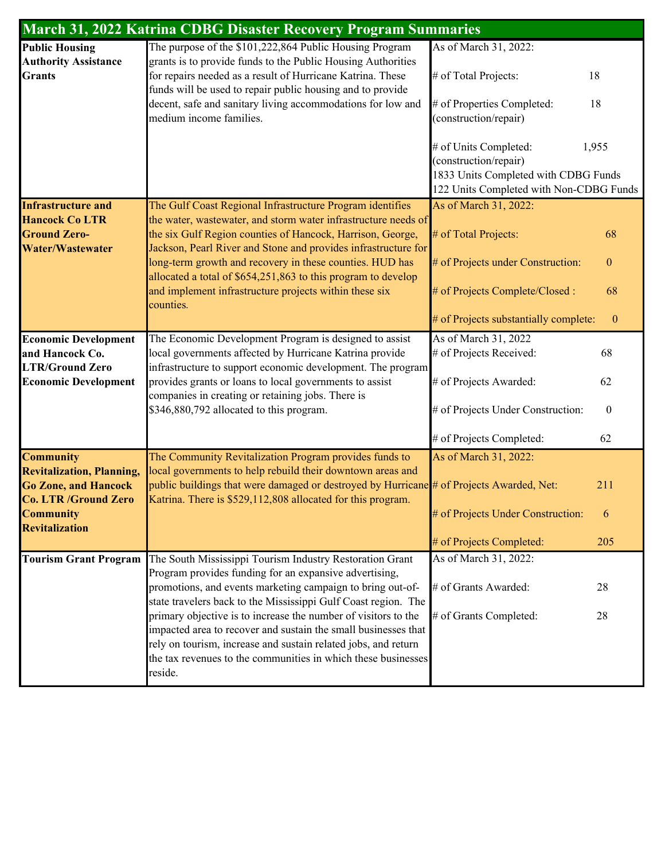|                                                                                                | March 31, 2022 Katrina CDBG Disaster Recovery Program Summaries                                                                                                                                                                                                     |                                                                                 |                  |
|------------------------------------------------------------------------------------------------|---------------------------------------------------------------------------------------------------------------------------------------------------------------------------------------------------------------------------------------------------------------------|---------------------------------------------------------------------------------|------------------|
| <b>Public Housing</b><br><b>Authority Assistance</b>                                           | The purpose of the \$101,222,864 Public Housing Program<br>grants is to provide funds to the Public Housing Authorities                                                                                                                                             | As of March 31, 2022:                                                           |                  |
| <b>Grants</b>                                                                                  | for repairs needed as a result of Hurricane Katrina. These<br>funds will be used to repair public housing and to provide                                                                                                                                            | # of Total Projects:<br>18                                                      |                  |
|                                                                                                | decent, safe and sanitary living accommodations for low and<br>medium income families.                                                                                                                                                                              | # of Properties Completed:<br>18<br>(construction/repair)                       |                  |
|                                                                                                |                                                                                                                                                                                                                                                                     | 1,955<br># of Units Completed:<br>(construction/repair)                         |                  |
|                                                                                                |                                                                                                                                                                                                                                                                     | 1833 Units Completed with CDBG Funds<br>122 Units Completed with Non-CDBG Funds |                  |
| <b>Infrastructure and</b>                                                                      | The Gulf Coast Regional Infrastructure Program identifies                                                                                                                                                                                                           | As of March 31, 2022:                                                           |                  |
| <b>Hancock Co LTR</b><br><b>Ground Zero-</b><br><b>Water/Wastewater</b>                        | the water, wastewater, and storm water infrastructure needs of<br>the six Gulf Region counties of Hancock, Harrison, George,<br>Jackson, Pearl River and Stone and provides infrastructure for                                                                      | # of Total Projects:                                                            | 68               |
|                                                                                                | long-term growth and recovery in these counties. HUD has<br>allocated a total of \$654,251,863 to this program to develop                                                                                                                                           | # of Projects under Construction:                                               | $\boldsymbol{0}$ |
|                                                                                                | and implement infrastructure projects within these six<br>counties.                                                                                                                                                                                                 | # of Projects Complete/Closed :                                                 | 68               |
|                                                                                                |                                                                                                                                                                                                                                                                     | # of Projects substantially complete:                                           | $\boldsymbol{0}$ |
| <b>Economic Development</b>                                                                    | The Economic Development Program is designed to assist                                                                                                                                                                                                              | As of March 31, 2022                                                            |                  |
| and Hancock Co.                                                                                | local governments affected by Hurricane Katrina provide                                                                                                                                                                                                             | # of Projects Received:                                                         | 68               |
| <b>LTR/Ground Zero</b><br><b>Economic Development</b>                                          | infrastructure to support economic development. The program<br>provides grants or loans to local governments to assist<br>companies in creating or retaining jobs. There is                                                                                         | # of Projects Awarded:                                                          | 62               |
|                                                                                                | \$346,880,792 allocated to this program.                                                                                                                                                                                                                            | # of Projects Under Construction:                                               | $\boldsymbol{0}$ |
|                                                                                                |                                                                                                                                                                                                                                                                     | # of Projects Completed:                                                        | 62               |
| <b>Community</b>                                                                               | The Community Revitalization Program provides funds to                                                                                                                                                                                                              | As of March 31, 2022:                                                           |                  |
| <b>Revitalization, Planning,</b><br><b>Go Zone, and Hancock</b><br><b>Co. LTR /Ground Zero</b> | local governments to help rebuild their downtown areas and<br>public buildings that were damaged or destroyed by Hurricane $\#$ of Projects Awarded, Net:<br>Katrina. There is \$529,112,808 allocated for this program.                                            |                                                                                 | 211              |
| <b>Community</b><br><b>Revitalization</b>                                                      |                                                                                                                                                                                                                                                                     | # of Projects Under Construction:                                               | 6                |
|                                                                                                |                                                                                                                                                                                                                                                                     | # of Projects Completed:                                                        | 205              |
| <b>Tourism Grant Program</b>                                                                   | The South Mississippi Tourism Industry Restoration Grant                                                                                                                                                                                                            | As of March 31, 2022:                                                           |                  |
|                                                                                                | Program provides funding for an expansive advertising,<br>promotions, and events marketing campaign to bring out-of-<br>state travelers back to the Mississippi Gulf Coast region. The                                                                              | # of Grants Awarded:                                                            | 28               |
|                                                                                                | primary objective is to increase the number of visitors to the<br>impacted area to recover and sustain the small businesses that<br>rely on tourism, increase and sustain related jobs, and return<br>the tax revenues to the communities in which these businesses | # of Grants Completed:                                                          | 28               |
|                                                                                                | reside.                                                                                                                                                                                                                                                             |                                                                                 |                  |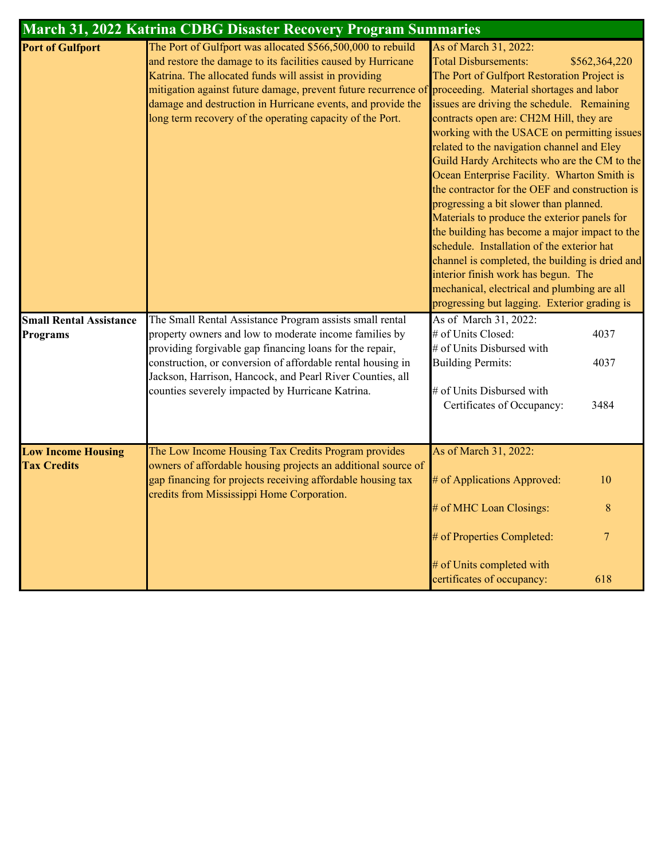|                                                   | March 31, 2022 Katrina CDBG Disaster Recovery Program Summaries                                                                                                                                                                                                                                                                                                                                                             |                                                                                                                                                                                                                                                                                                                                                                                                                                                                                                                                                                                                                                                                                                                                                                                                                                               |
|---------------------------------------------------|-----------------------------------------------------------------------------------------------------------------------------------------------------------------------------------------------------------------------------------------------------------------------------------------------------------------------------------------------------------------------------------------------------------------------------|-----------------------------------------------------------------------------------------------------------------------------------------------------------------------------------------------------------------------------------------------------------------------------------------------------------------------------------------------------------------------------------------------------------------------------------------------------------------------------------------------------------------------------------------------------------------------------------------------------------------------------------------------------------------------------------------------------------------------------------------------------------------------------------------------------------------------------------------------|
| <b>Port of Gulfport</b>                           | The Port of Gulfport was allocated \$566,500,000 to rebuild<br>and restore the damage to its facilities caused by Hurricane<br>Katrina. The allocated funds will assist in providing<br>mitigation against future damage, prevent future recurrence of proceeding. Material shortages and labor<br>damage and destruction in Hurricane events, and provide the<br>long term recovery of the operating capacity of the Port. | As of March 31, 2022:<br><b>Total Disbursements:</b><br>\$562,364,220<br>The Port of Gulfport Restoration Project is<br>issues are driving the schedule. Remaining<br>contracts open are: CH2M Hill, they are<br>working with the USACE on permitting issues<br>related to the navigation channel and Eley<br>Guild Hardy Architects who are the CM to the<br>Ocean Enterprise Facility. Wharton Smith is<br>the contractor for the OEF and construction is<br>progressing a bit slower than planned.<br>Materials to produce the exterior panels for<br>the building has become a major impact to the<br>schedule. Installation of the exterior hat<br>channel is completed, the building is dried and<br>interior finish work has begun. The<br>mechanical, electrical and plumbing are all<br>progressing but lagging. Exterior grading is |
| <b>Small Rental Assistance</b><br><b>Programs</b> | The Small Rental Assistance Program assists small rental<br>property owners and low to moderate income families by<br>providing forgivable gap financing loans for the repair,<br>construction, or conversion of affordable rental housing in<br>Jackson, Harrison, Hancock, and Pearl River Counties, all<br>counties severely impacted by Hurricane Katrina.                                                              | As of March 31, 2022:<br># of Units Closed:<br>4037<br># of Units Disbursed with<br><b>Building Permits:</b><br>4037<br># of Units Disbursed with<br>Certificates of Occupancy:<br>3484                                                                                                                                                                                                                                                                                                                                                                                                                                                                                                                                                                                                                                                       |
| <b>Low Income Housing</b><br><b>Tax Credits</b>   | The Low Income Housing Tax Credits Program provides<br>owners of affordable housing projects an additional source of<br>gap financing for projects receiving affordable housing tax<br>credits from Mississippi Home Corporation.                                                                                                                                                                                           | As of March 31, 2022:<br># of Applications Approved:<br>10<br># of MHC Loan Closings:<br>$8\,$<br>$\overline{7}$<br># of Properties Completed:<br># of Units completed with<br>certificates of occupancy:<br>618                                                                                                                                                                                                                                                                                                                                                                                                                                                                                                                                                                                                                              |